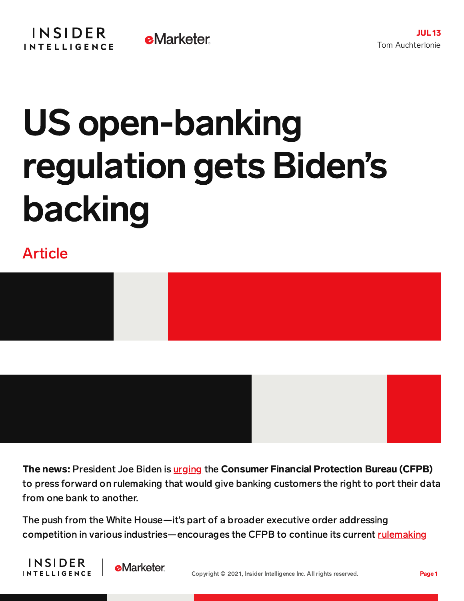## US open-banking regulation gets Biden's backing

## Article



The news: President Joe Biden is *[urging](https://www.whitehouse.gov/briefing-room/presidential-actions/2021/07/09/executive-order-on-promoting-competition-in-the-american-economy/)* the Consumer Financial Protection Bureau (CFPB) to press forward on rulemaking that would give banking customers the right to port their data from one bank to another.

The push from the White House—it's part of a broader executive order addressing competition in various [industries—encourages](https://www.consumerfinance.gov/rules-policy/notice-opportunities-comment/archive-closed/dodd-frank-act-section-1033-consumer-access-to-financial-records/?_gl=1*ntqmmc*_ga*MjA2MjQ2NTMyNS4xNjI1NjcyMzc0*_ga_DBYJL30CHS*MTYyNjEwMjYwNS4zLjEuMTYyNjEwMjY2Ni4w) the CFPB to continue its current rulemaking